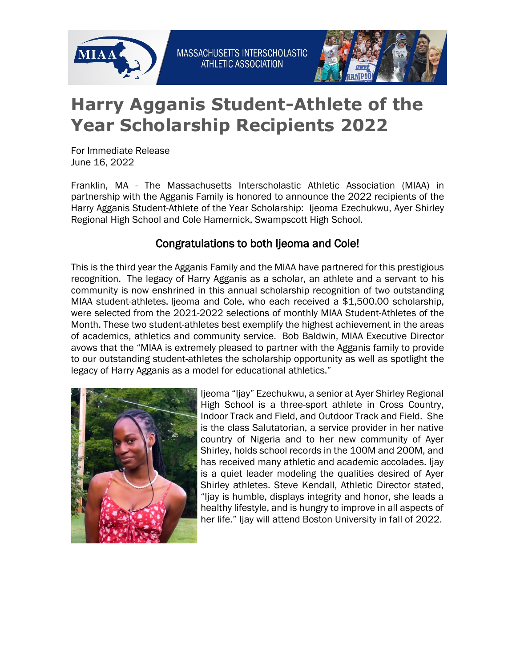



## **Harry Agganis Student-Athlete of the Year Scholarship Recipients 2022**

For Immediate Release June 16, 2022

Franklin, MA - The Massachusetts Interscholastic Athletic Association (MIAA) in partnership with the Agganis Family is honored to announce the 2022 recipients of the Harry Agganis Student-Athlete of the Year Scholarship: Ijeoma Ezechukwu, Ayer Shirley Regional High School and Cole Hamernick, Swampscott High School.

## Congratulations to both Ijeoma and Cole!

This is the third year the Agganis Family and the MIAA have partnered for this prestigious recognition. The legacy of Harry Agganis as a scholar, an athlete and a servant to his community is now enshrined in this annual scholarship recognition of two outstanding MIAA student-athletes. Ijeoma and Cole, who each received a \$1,500.00 scholarship, were selected from the 2021-2022 selections of monthly MIAA Student-Athletes of the Month. These two student-athletes best exemplify the highest achievement in the areas of academics, athletics and community service. Bob Baldwin, MIAA Executive Director avows that the "MIAA is extremely pleased to partner with the Agganis family to provide to our outstanding student-athletes the scholarship opportunity as well as spotlight the legacy of Harry Agganis as a model for educational athletics."



Ijeoma "Ijay" Ezechukwu, a senior at Ayer Shirley Regional High School is a three-sport athlete in Cross Country, Indoor Track and Field, and Outdoor Track and Field. She is the class Salutatorian, a service provider in her native country of Nigeria and to her new community of Ayer Shirley, holds school records in the 100M and 200M, and has received many athletic and academic accolades. Ijay is a quiet leader modeling the qualities desired of Ayer Shirley athletes. Steve Kendall, Athletic Director stated, "Ijay is humble, displays integrity and honor, she leads a healthy lifestyle, and is hungry to improve in all aspects of her life." Ijay will attend Boston University in fall of 2022.